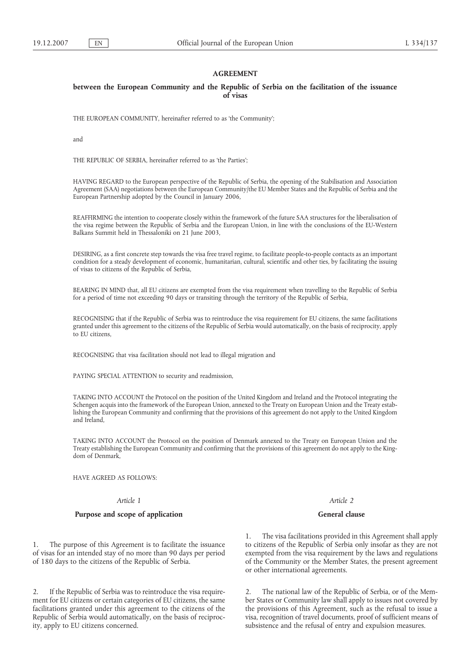## **AGREEMENT**

### **between the European Community and the Republic of Serbia on the facilitation of the issuance of visas**

THE EUROPEAN COMMUNITY, hereinafter referred to as 'the Community';

and

THE REPUBLIC OF SERBIA, hereinafter referred to as 'the Parties';

HAVING REGARD to the European perspective of the Republic of Serbia, the opening of the Stabilisation and Association Agreement (SAA) negotiations between the European Community/the EU Member States and the Republic of Serbia and the European Partnership adopted by the Council in January 2006,

REAFFIRMING the intention to cooperate closely within the framework of the future SAA structures for the liberalisation of the visa regime between the Republic of Serbia and the European Union, in line with the conclusions of the EU-Western Balkans Summit held in Thessaloniki on 21 June 2003,

DESIRING, as a first concrete step towards the visa free travel regime, to facilitate people-to-people contacts as an important condition for a steady development of economic, humanitarian, cultural, scientific and other ties, by facilitating the issuing of visas to citizens of the Republic of Serbia,

BEARING IN MIND that, all EU citizens are exempted from the visa requirement when travelling to the Republic of Serbia for a period of time not exceeding 90 days or transiting through the territory of the Republic of Serbia,

RECOGNISING that if the Republic of Serbia was to reintroduce the visa requirement for EU citizens, the same facilitations granted under this agreement to the citizens of the Republic of Serbia would automatically, on the basis of reciprocity, apply to EU citizens,

RECOGNISING that visa facilitation should not lead to illegal migration and

PAYING SPECIAL ATTENTION to security and readmission,

TAKING INTO ACCOUNT the Protocol on the position of the United Kingdom and Ireland and the Protocol integrating the Schengen acquis into the framework of the European Union, annexed to the Treaty on European Union and the Treaty establishing the European Community and confirming that the provisions of this agreement do not apply to the United Kingdom and Ireland,

TAKING INTO ACCOUNT the Protocol on the position of Denmark annexed to the Treaty on European Union and the Treaty establishing the European Community and confirming that the provisions of this agreement do not apply to the Kingdom of Denmark,

HAVE AGREED AS FOLLOWS:

### *Article 1*

### **Purpose and scope of application**

1. The purpose of this Agreement is to facilitate the issuance of visas for an intended stay of no more than 90 days per period of 180 days to the citizens of the Republic of Serbia.

2. If the Republic of Serbia was to reintroduce the visa requirement for EU citizens or certain categories of EU citizens, the same facilitations granted under this agreement to the citizens of the Republic of Serbia would automatically, on the basis of reciprocity, apply to EU citizens concerned.

*Article 2*

#### **General clause**

1. The visa facilitations provided in this Agreement shall apply to citizens of the Republic of Serbia only insofar as they are not exempted from the visa requirement by the laws and regulations of the Community or the Member States, the present agreement or other international agreements.

2. The national law of the Republic of Serbia, or of the Member States or Community law shall apply to issues not covered by the provisions of this Agreement, such as the refusal to issue a visa, recognition of travel documents, proof of sufficient means of subsistence and the refusal of entry and expulsion measures.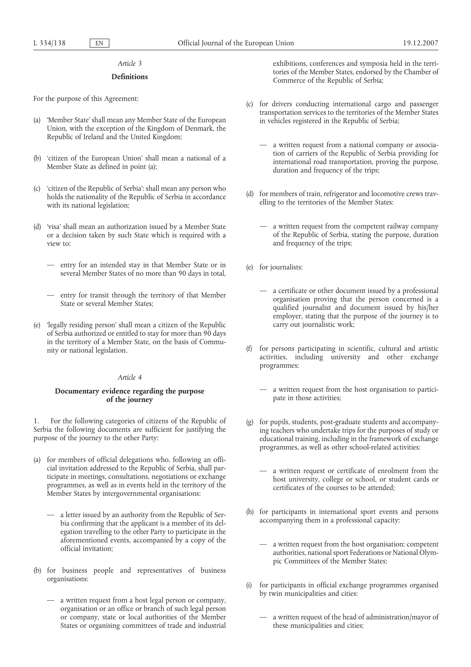#### *Article 3*

#### **Definitions**

For the purpose of this Agreement:

- (a) 'Member State' shall mean any Member State of the European Union, with the exception of the Kingdom of Denmark, the Republic of Ireland and the United Kingdom;
- (b) 'citizen of the European Union' shall mean a national of a Member State as defined in point (a);
- (c) 'citizen of the Republic of Serbia': shall mean any person who holds the nationality of the Republic of Serbia in accordance with its national legislation;
- (d) 'visa' shall mean an authorization issued by a Member State or a decision taken by such State which is required with a view to:
	- entry for an intended stay in that Member State or in several Member States of no more than 90 days in total,
	- entry for transit through the territory of that Member State or several Member States;
- (e) 'legally residing person' shall mean a citizen of the Republic of Serbia authorized or entitled to stay for more than 90 days in the territory of a Member State, on the basis of Community or national legislation.

#### *Article 4*

#### **Documentary evidence regarding the purpose of the journey**

1. For the following categories of citizens of the Republic of Serbia the following documents are sufficient for justifying the purpose of the journey to the other Party:

- (a) for members of official delegations who, following an official invitation addressed to the Republic of Serbia, shall participate in meetings, consultations, negotiations or exchange programmes, as well as in events held in the territory of the Member States by intergovernmental organisations:
	- a letter issued by an authority from the Republic of Serbia confirming that the applicant is a member of its delegation travelling to the other Party to participate in the aforementioned events, accompanied by a copy of the official invitation;
- (b) for business people and representatives of business organisations:
	- a written request from a host legal person or company, organisation or an office or branch of such legal person or company, state or local authorities of the Member States or organising committees of trade and industrial

exhibitions, conferences and symposia held in the territories of the Member States, endorsed by the Chamber of Commerce of the Republic of Serbia;

- (c) for drivers conducting international cargo and passenger transportation services to the territories of the Member States in vehicles registered in the Republic of Serbia;
	- a written request from a national company or association of carriers of the Republic of Serbia providing for international road transportation, proving the purpose, duration and frequency of the trips;
- (d) for members of train, refrigerator and locomotive crews travelling to the territories of the Member States:
	- a written request from the competent railway company of the Republic of Serbia, stating the purpose, duration and frequency of the trips;
- (e) for journalists:
	- a certificate or other document issued by a professional organisation proving that the person concerned is a qualified journalist and document issued by his/her employer, stating that the purpose of the journey is to carry out journalistic work;
- (f) for persons participating in scientific, cultural and artistic activities, including university and other exchange programmes:
	- a written request from the host organisation to participate in those activities;
- (g) for pupils, students, post-graduate students and accompanying teachers who undertake trips for the purposes of study or educational training, including in the framework of exchange programmes, as well as other school-related activities:
	- a written request or certificate of enrolment from the host university, college or school, or student cards or certificates of the courses to be attended;
- (h) for participants in international sport events and persons accompanying them in a professional capacity:
	- a written request from the host organisation: competent authorities, national sport Federations or National Olympic Committees of the Member States;
- (i) for participants in official exchange programmes organised by twin municipalities and cities:
	- a written request of the head of administration/mayor of these municipalities and cities;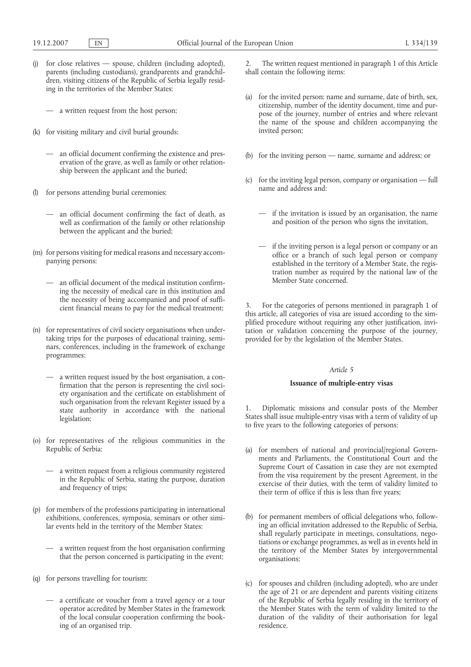- (j) for close relatives spouse, children (including adopted), parents (including custodians), grandparents and grandchildren, visiting citizens of the Republic of Serbia legally residing in the territories of the Member States:
	- a written request from the host person;
- (k) for visiting military and civil burial grounds:
	- an official document confirming the existence and preservation of the grave, as well as family or other relationship between the applicant and the buried;
- (l) for persons attending burial ceremonies:
	- an official document confirming the fact of death, as well as confirmation of the family or other relationship between the applicant and the buried;
- (m) for persons visiting for medical reasons and necessary accompanying persons:
	- an official document of the medical institution confirming the necessity of medical care in this institution and the necessity of being accompanied and proof of sufficient financial means to pay for the medical treatment;
- (n) for representatives of civil society organisations when undertaking trips for the purposes of educational training, seminars, conferences, including in the framework of exchange programmes:
	- a written request issued by the host organisation, a confirmation that the person is representing the civil society organisation and the certificate on establishment of such organisation from the relevant Register issued by a state authority in accordance with the national legislation;
- (o) for representatives of the religious communities in the Republic of Serbia:
	- a written request from a religious community registered in the Republic of Serbia, stating the purpose, duration and frequency of trips;
- (p) for members of the professions participating in international exhibitions, conferences, symposia, seminars or other similar events held in the territory of the Member States:
	- a written request from the host organisation confirming that the person concerned is participating in the event;
- (q) for persons travelling for tourism:
	- a certificate or voucher from a travel agency or a tour operator accredited by Member States in the framework of the local consular cooperation confirming the booking of an organised trip.

2. The written request mentioned in paragraph 1 of this Article shall contain the following items:

- (a) for the invited person: name and surname, date of birth, sex, citizenship, number of the identity document, time and purpose of the journey, number of entries and where relevant the name of the spouse and children accompanying the invited person;
- (b) for the inviting person name, surname and address; or
- (c) for the inviting legal person, company or organisation full name and address and:
	- if the invitation is issued by an organisation, the name and position of the person who signs the invitation,
	- if the inviting person is a legal person or company or an office or a branch of such legal person or company established in the territory of a Member State, the registration number as required by the national law of the Member State concerned.

3. For the categories of persons mentioned in paragraph 1 of this article, all categories of visa are issued according to the simplified procedure without requiring any other justification, invitation or validation concerning the purpose of the journey, provided for by the legislation of the Member States.

#### *Article 5*

### **Issuance of multiple-entry visas**

Diplomatic missions and consular posts of the Member States shall issue multiple-entry visas with a term of validity of up to five years to the following categories of persons:

- (a) for members of national and provincial/regional Governments and Parliaments, the Constitutional Court and the Supreme Court of Cassation in case they are not exempted from the visa requirement by the present Agreement, in the exercise of their duties, with the term of validity limited to their term of office if this is less than five years;
- (b) for permanent members of official delegations who, following an official invitation addressed to the Republic of Serbia, shall regularly participate in meetings, consultations, negotiations or exchange programmes, as well as in events held in the territory of the Member States by intergovernmental organisations;
- (c) for spouses and children (including adopted), who are under the age of 21 or are dependent and parents visiting citizens of the Republic of Serbia legally residing in the territory of the Member States with the term of validity limited to the duration of the validity of their authorisation for legal residence.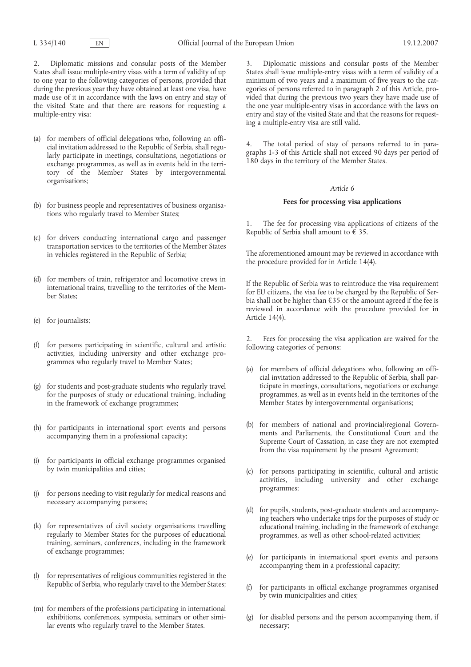2. Diplomatic missions and consular posts of the Member States shall issue multiple-entry visas with a term of validity of up to one year to the following categories of persons, provided that during the previous year they have obtained at least one visa, have made use of it in accordance with the laws on entry and stay of the visited State and that there are reasons for requesting a multiple-entry visa:

- (a) for members of official delegations who, following an official invitation addressed to the Republic of Serbia, shall regularly participate in meetings, consultations, negotiations or exchange programmes, as well as in events held in the territory of the Member States by intergovernmental organisations;
- (b) for business people and representatives of business organisations who regularly travel to Member States;
- (c) for drivers conducting international cargo and passenger transportation services to the territories of the Member States in vehicles registered in the Republic of Serbia;
- (d) for members of train, refrigerator and locomotive crews in international trains, travelling to the territories of the Member States;
- (e) for journalists;
- (f) for persons participating in scientific, cultural and artistic activities, including university and other exchange programmes who regularly travel to Member States;
- (g) for students and post-graduate students who regularly travel for the purposes of study or educational training, including in the framework of exchange programmes;
- (h) for participants in international sport events and persons accompanying them in a professional capacity;
- (i) for participants in official exchange programmes organised by twin municipalities and cities;
- (j) for persons needing to visit regularly for medical reasons and necessary accompanying persons;
- (k) for representatives of civil society organisations travelling regularly to Member States for the purposes of educational training, seminars, conferences, including in the framework of exchange programmes;
- (l) for representatives of religious communities registered in the Republic of Serbia, who regularly travel to the Member States;
- (m) for members of the professions participating in international exhibitions, conferences, symposia, seminars or other similar events who regularly travel to the Member States.

3. Diplomatic missions and consular posts of the Member States shall issue multiple-entry visas with a term of validity of a minimum of two years and a maximum of five years to the categories of persons referred to in paragraph 2 of this Article, provided that during the previous two years they have made use of the one year multiple-entry visas in accordance with the laws on entry and stay of the visited State and that the reasons for requesting a multiple-entry visa are still valid.

4. The total period of stay of persons referred to in paragraphs 1-3 of this Article shall not exceed 90 days per period of 180 days in the territory of the Member States.

#### *Article 6*

#### **Fees for processing visa applications**

1. The fee for processing visa applications of citizens of the Republic of Serbia shall amount to  $\hat{\epsilon}$  35.

The aforementioned amount may be reviewed in accordance with the procedure provided for in Article 14(4).

If the Republic of Serbia was to reintroduce the visa requirement for EU citizens, the visa fee to be charged by the Republic of Serbia shall not be higher than €35 or the amount agreed if the fee is reviewed in accordance with the procedure provided for in Article 14(4).

2. Fees for processing the visa application are waived for the following categories of persons:

- (a) for members of official delegations who, following an official invitation addressed to the Republic of Serbia, shall participate in meetings, consultations, negotiations or exchange programmes, as well as in events held in the territories of the Member States by intergovernmental organisations;
- (b) for members of national and provincial/regional Governments and Parliaments, the Constitutional Court and the Supreme Court of Cassation, in case they are not exempted from the visa requirement by the present Agreement;
- (c) for persons participating in scientific, cultural and artistic activities, including university and other exchange programmes;
- (d) for pupils, students, post-graduate students and accompanying teachers who undertake trips for the purposes of study or educational training, including in the framework of exchange programmes, as well as other school-related activities;
- (e) for participants in international sport events and persons accompanying them in a professional capacity;
- (f) for participants in official exchange programmes organised by twin municipalities and cities;
- (g) for disabled persons and the person accompanying them, if necessary;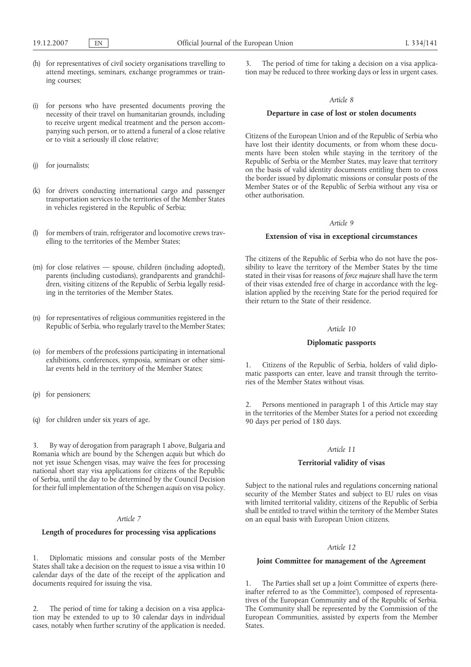- (h) for representatives of civil society organisations travelling to attend meetings, seminars, exchange programmes or training courses;
- (i) for persons who have presented documents proving the necessity of their travel on humanitarian grounds, including to receive urgent medical treatment and the person accompanying such person, or to attend a funeral of a close relative or to visit a seriously ill close relative;
- (j) for journalists;
- (k) for drivers conducting international cargo and passenger transportation services to the territories of the Member States in vehicles registered in the Republic of Serbia;
- (l) for members of train, refrigerator and locomotive crews travelling to the territories of the Member States;
- (m) for close relatives spouse, children (including adopted), parents (including custodians), grandparents and grandchildren, visiting citizens of the Republic of Serbia legally residing in the territories of the Member States.
- (n) for representatives of religious communities registered in the Republic of Serbia, who regularly travel to the Member States;
- (o) for members of the professions participating in international exhibitions, conferences, symposia, seminars or other similar events held in the territory of the Member States;
- (p) for pensioners;
- (q) for children under six years of age.

3. By way of derogation from paragraph 1 above, Bulgaria and Romania which are bound by the Schengen *acquis* but which do not yet issue Schengen visas, may waive the fees for processing national short stay visa applications for citizens of the Republic of Serbia, until the day to be determined by the Council Decision for their full implementation of the Schengen *acquis* on visa policy.

#### *Article 7*

# **Length of procedures for processing visa applications**

1. Diplomatic missions and consular posts of the Member States shall take a decision on the request to issue a visa within 10 calendar days of the date of the receipt of the application and documents required for issuing the visa.

2. The period of time for taking a decision on a visa application may be extended to up to 30 calendar days in individual cases, notably when further scrutiny of the application is needed.

3. The period of time for taking a decision on a visa application may be reduced to three working days or less in urgent cases.

#### *Article 8*

### **Departure in case of lost or stolen documents**

Citizens of the European Union and of the Republic of Serbia who have lost their identity documents, or from whom these documents have been stolen while staying in the territory of the Republic of Serbia or the Member States, may leave that territory on the basis of valid identity documents entitling them to cross the border issued by diplomatic missions or consular posts of the Member States or of the Republic of Serbia without any visa or other authorisation.

## *Article 9*

### **Extension of visa in exceptional circumstances**

The citizens of the Republic of Serbia who do not have the possibility to leave the territory of the Member States by the time stated in their visas for reasons of *force majeure* shall have the term of their visas extended free of charge in accordance with the legislation applied by the receiving State for the period required for their return to the State of their residence.

#### *Article 10*

#### **Diplomatic passports**

1. Citizens of the Republic of Serbia, holders of valid diplomatic passports can enter, leave and transit through the territories of the Member States without visas.

Persons mentioned in paragraph 1 of this Article may stay in the territories of the Member States for a period not exceeding 90 days per period of 180 days.

### *Article 11*

# **Territorial validity of visas**

Subject to the national rules and regulations concerning national security of the Member States and subject to EU rules on visas with limited territorial validity, citizens of the Republic of Serbia shall be entitled to travel within the territory of the Member States on an equal basis with European Union citizens.

#### *Article 12*

### **Joint Committee for management of the Agreement**

1. The Parties shall set up a Joint Committee of experts (hereinafter referred to as 'the Committee'), composed of representatives of the European Community and of the Republic of Serbia. The Community shall be represented by the Commission of the European Communities, assisted by experts from the Member States.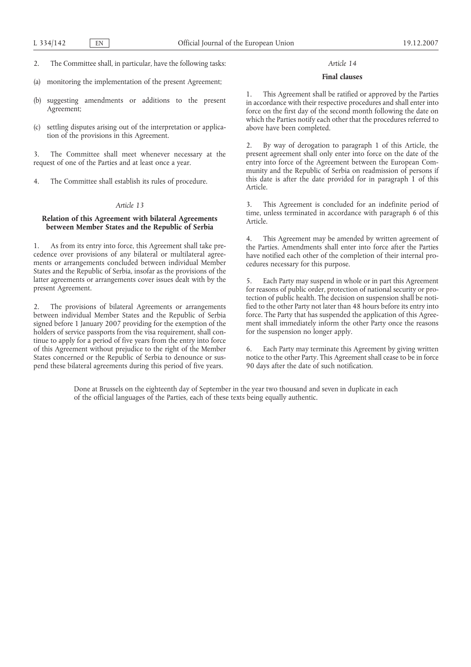- 2. The Committee shall, in particular, have the following tasks:
- (a) monitoring the implementation of the present Agreement;
- (b) suggesting amendments or additions to the present Agreement;
- (c) settling disputes arising out of the interpretation or application of the provisions in this Agreement.

3. The Committee shall meet whenever necessary at the request of one of the Parties and at least once a year.

4. The Committee shall establish its rules of procedure.

### *Article 13*

### **Relation of this Agreement with bilateral Agreements between Member States and the Republic of Serbia**

1. As from its entry into force, this Agreement shall take precedence over provisions of any bilateral or multilateral agreements or arrangements concluded between individual Member States and the Republic of Serbia, insofar as the provisions of the latter agreements or arrangements cover issues dealt with by the present Agreement.

2. The provisions of bilateral Agreements or arrangements between individual Member States and the Republic of Serbia signed before 1 January 2007 providing for the exemption of the holders of service passports from the visa requirement, shall continue to apply for a period of five years from the entry into force of this Agreement without prejudice to the right of the Member States concerned or the Republic of Serbia to denounce or suspend these bilateral agreements during this period of five years.

#### *Article 14*

#### **Final clauses**

1. This Agreement shall be ratified or approved by the Parties in accordance with their respective procedures and shall enter into force on the first day of the second month following the date on which the Parties notify each other that the procedures referred to above have been completed.

2. By way of derogation to paragraph 1 of this Article, the present agreement shall only enter into force on the date of the entry into force of the Agreement between the European Community and the Republic of Serbia on readmission of persons if this date is after the date provided for in paragraph 1 of this Article.

3. This Agreement is concluded for an indefinite period of time, unless terminated in accordance with paragraph 6 of this Article.

4. This Agreement may be amended by written agreement of the Parties. Amendments shall enter into force after the Parties have notified each other of the completion of their internal procedures necessary for this purpose.

5. Each Party may suspend in whole or in part this Agreement for reasons of public order, protection of national security or protection of public health. The decision on suspension shall be notified to the other Party not later than 48 hours before its entry into force. The Party that has suspended the application of this Agreement shall immediately inform the other Party once the reasons for the suspension no longer apply.

6. Each Party may terminate this Agreement by giving written notice to the other Party. This Agreement shall cease to be in force 90 days after the date of such notification.

Done at Brussels on the eighteenth day of September in the year two thousand and seven in duplicate in each of the official languages of the Parties, each of these texts being equally authentic.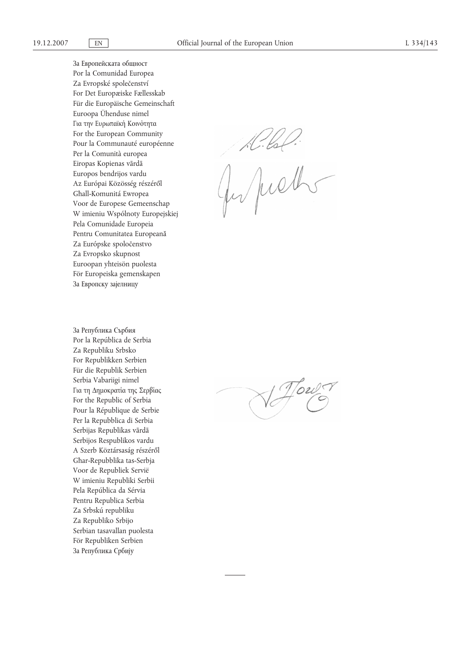За Европейската общност Por la Comunidad Europea Za Evropské společenství For Det Europæiske Fællesskab Für die Europäische Gemeinschaft Euroopa Ühenduse nimel Για την Ευρωπαϊκή Κοινότητα For the European Community Pour la Communauté européenne Per la Comunità europea Eiropas Kopienas vārdā Europos bendrijos vardu Az Európai Közösség részéről Għall-Komunitá Ewropea Voor de Europese Gemeenschap W imieniu Wspólnoty Europejskiej Pela Comunidade Europeia Pentru Comunitatea Europeană Za Európske spoločenstvo Za Evropsko skupnost Euroopan yhteisön puolesta För Europeiska gemenskapen За Европску зајелницу

За Република Сърбия Por la República de Serbia Za Republiku Srbsko For Republikken Serbien Für die Republik Serbien Serbia Vabariigi nimel Για τη Δημοκρατία της Σερβίας For the Republic of Serbia Pour la République de Serbie Per la Repubblica di Serbia Serbijas Republikas vārdā Serbijos Respublikos vardu A Szerb Köztársaság részéről Għar-Repubblika tas-Serbja Voor de Republiek Servië W imieniu Republiki Serbii Pela República da Sérvia Pentru Republica Serbia Za Srbskú republiku Za Republiko Srbijo Serbian tasavallan puolesta För Republiken Serbien За Република Србиjу

Juliel.

V Howr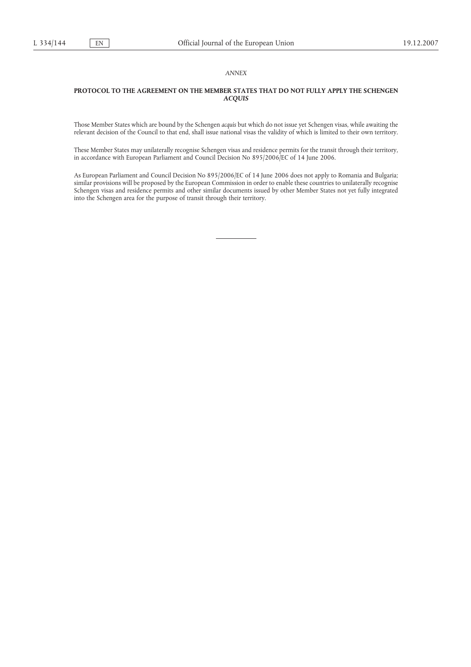### *ANNEX*

### **PROTOCOL TO THE AGREEMENT ON THE MEMBER STATES THAT DO NOT FULLY APPLY THE SCHENGEN** *ACQUIS*

Those Member States which are bound by the Schengen *acquis* but which do not issue yet Schengen visas, while awaiting the relevant decision of the Council to that end, shall issue national visas the validity of which is limited to their own territory.

These Member States may unilaterally recognise Schengen visas and residence permits for the transit through their territory, in accordance with European Parliament and Council Decision No 895/2006/EC of 14 June 2006.

As European Parliament and Council Decision No 895/2006/EC of 14 June 2006 does not apply to Romania and Bulgaria; similar provisions will be proposed by the European Commission in order to enable these countries to unilaterally recognise Schengen visas and residence permits and other similar documents issued by other Member States not yet fully integrated into the Schengen area for the purpose of transit through their territory.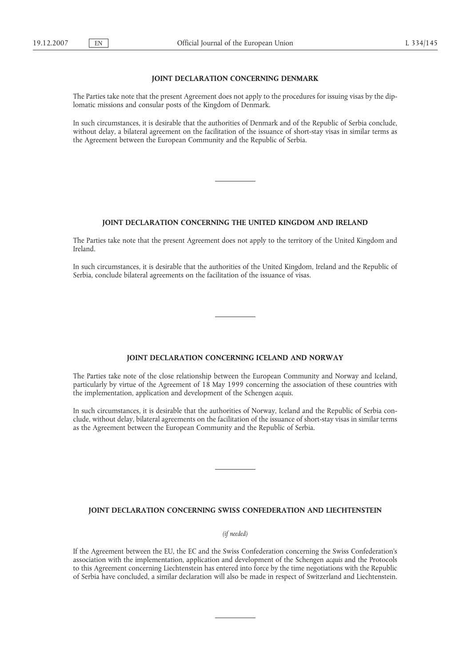### **JOINT DECLARATION CONCERNING DENMARK**

The Parties take note that the present Agreement does not apply to the procedures for issuing visas by the diplomatic missions and consular posts of the Kingdom of Denmark.

In such circumstances, it is desirable that the authorities of Denmark and of the Republic of Serbia conclude, without delay, a bilateral agreement on the facilitation of the issuance of short-stay visas in similar terms as the Agreement between the European Community and the Republic of Serbia.

## **JOINT DECLARATION CONCERNING THE UNITED KINGDOM AND IRELAND**

The Parties take note that the present Agreement does not apply to the territory of the United Kingdom and Ireland.

In such circumstances, it is desirable that the authorities of the United Kingdom, Ireland and the Republic of Serbia, conclude bilateral agreements on the facilitation of the issuance of visas.

#### **JOINT DECLARATION CONCERNING ICELAND AND NORWAY**

The Parties take note of the close relationship between the European Community and Norway and Iceland, particularly by virtue of the Agreement of 18 May 1999 concerning the association of these countries with the implementation, application and development of the Schengen *acquis*.

In such circumstances, it is desirable that the authorities of Norway, Iceland and the Republic of Serbia conclude, without delay, bilateral agreements on the facilitation of the issuance of short-stay visas in similar terms as the Agreement between the European Community and the Republic of Serbia.

### **JOINT DECLARATION CONCERNING SWISS CONFEDERATION AND LIECHTENSTEIN**

### *(if needed)*

If the Agreement between the EU, the EC and the Swiss Confederation concerning the Swiss Confederation's association with the implementation, application and development of the Schengen *acquis* and the Protocols to this Agreement concerning Liechtenstein has entered into force by the time negotiations with the Republic of Serbia have concluded, a similar declaration will also be made in respect of Switzerland and Liechtenstein.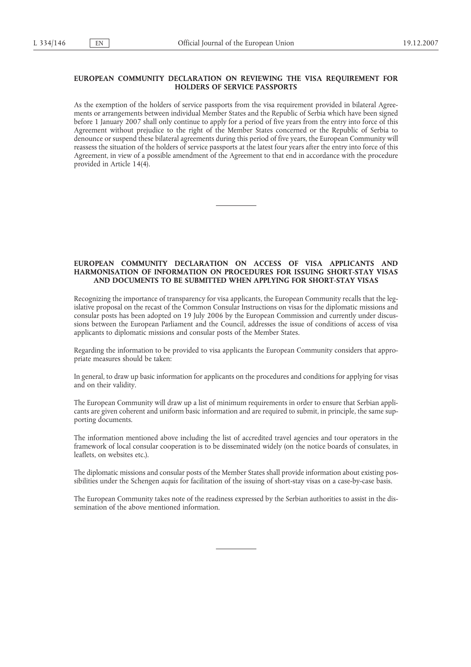### **EUROPEAN COMMUNITY DECLARATION ON REVIEWING THE VISA REQUIREMENT FOR HOLDERS OF SERVICE PASSPORTS**

As the exemption of the holders of service passports from the visa requirement provided in bilateral Agreements or arrangements between individual Member States and the Republic of Serbia which have been signed before 1 January 2007 shall only continue to apply for a period of five years from the entry into force of this Agreement without prejudice to the right of the Member States concerned or the Republic of Serbia to denounce or suspend these bilateral agreements during this period of five years, the European Community will reassess the situation of the holders of service passports at the latest four years after the entry into force of this Agreement, in view of a possible amendment of the Agreement to that end in accordance with the procedure provided in Article 14(4).

## **EUROPEAN COMMUNITY DECLARATION ON ACCESS OF VISA APPLICANTS AND HARMONISATION OF INFORMATION ON PROCEDURES FOR ISSUING SHORT-STAY VISAS AND DOCUMENTS TO BE SUBMITTED WHEN APPLYING FOR SHORT-STAY VISAS**

Recognizing the importance of transparency for visa applicants, the European Community recalls that the legislative proposal on the recast of the Common Consular Instructions on visas for the diplomatic missions and consular posts has been adopted on 19 July 2006 by the European Commission and currently under discussions between the European Parliament and the Council, addresses the issue of conditions of access of visa applicants to diplomatic missions and consular posts of the Member States.

Regarding the information to be provided to visa applicants the European Community considers that appropriate measures should be taken:

In general, to draw up basic information for applicants on the procedures and conditions for applying for visas and on their validity.

The European Community will draw up a list of minimum requirements in order to ensure that Serbian applicants are given coherent and uniform basic information and are required to submit, in principle, the same supporting documents.

The information mentioned above including the list of accredited travel agencies and tour operators in the framework of local consular cooperation is to be disseminated widely (on the notice boards of consulates, in leaflets, on websites etc.).

The diplomatic missions and consular posts of the Member States shall provide information about existing possibilities under the Schengen *acquis* for facilitation of the issuing of short-stay visas on a case-by-case basis.

The European Community takes note of the readiness expressed by the Serbian authorities to assist in the dissemination of the above mentioned information.